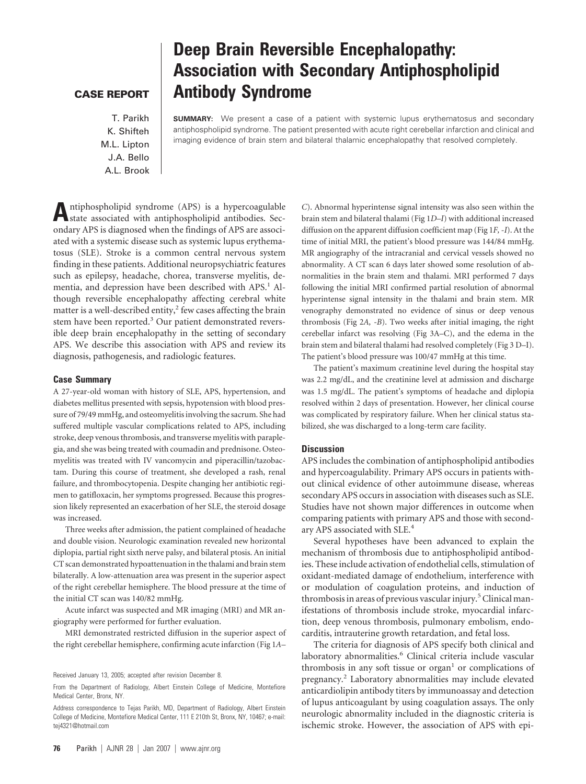## **CASE REPORT**

T. Parikh K. Shifteh M.L. Lipton J.A. Bello A.L. Brook

# **Deep Brain Reversible Encephalopathy: Association with Secondary Antiphospholipid Antibody Syndrome**

**SUMMARY:** We present a case of a patient with systemic lupus erythematosus and secondary antiphospholipid syndrome. The patient presented with acute right cerebellar infarction and clinical and imaging evidence of brain stem and bilateral thalamic encephalopathy that resolved completely.

**A**ntiphospholipid syndrome (APS) is a hypercoagulable state associated with antiphospholipid antibodies. Secondary APS is diagnosed when the findings of APS are associated with a systemic disease such as systemic lupus erythematosus (SLE). Stroke is a common central nervous system finding in these patients. Additional neuropsychiatric features such as epilepsy, headache, chorea, transverse myelitis, dementia, and depression have been described with APS.<sup>1</sup> Although reversible encephalopathy affecting cerebral white matter is a well-described entity, $2$  few cases affecting the brain stem have been reported.<sup>3</sup> Our patient demonstrated reversible deep brain encephalopathy in the setting of secondary APS. We describe this association with APS and review its diagnosis, pathogenesis, and radiologic features.

### **Case Summary**

A 27-year-old woman with history of SLE, APS, hypertension, and diabetes mellitus presented with sepsis, hypotension with blood pressure of 79/49 mmHg, and osteomyelitis involving the sacrum. She had suffered multiple vascular complications related to APS, including stroke, deep venous thrombosis, and transverse myelitis with paraplegia, and she was being treated with coumadin and prednisone. Osteomyelitis was treated with IV vancomycin and piperacillin/tazobactam. During this course of treatment, she developed a rash, renal failure, and thrombocytopenia. Despite changing her antibiotic regimen to gatifloxacin, her symptoms progressed. Because this progression likely represented an exacerbation of her SLE, the steroid dosage was increased.

Three weeks after admission, the patient complained of headache and double vision. Neurologic examination revealed new horizontal diplopia, partial right sixth nerve palsy, and bilateral ptosis. An initial CT scan demonstrated hypoattenuation in the thalami and brain stem bilaterally. A low-attenuation area was present in the superior aspect of the right cerebellar hemisphere. The blood pressure at the time of the initial CT scan was 140/82 mmHg.

Acute infarct was suspected and MR imaging (MRI) and MR angiography were performed for further evaluation.

MRI demonstrated restricted diffusion in the superior aspect of the right cerebellar hemisphere, confirming acute infarction (Fig 1*A–*

*C*). Abnormal hyperintense signal intensity was also seen within the brain stem and bilateral thalami (Fig 1*D–I*) with additional increased diffusion on the apparent diffusion coefficient map (Fig 1*F, -I*). At the time of initial MRI, the patient's blood pressure was 144/84 mmHg. MR angiography of the intracranial and cervical vessels showed no abnormality. A CT scan 6 days later showed some resolution of abnormalities in the brain stem and thalami. MRI performed 7 days following the initial MRI confirmed partial resolution of abnormal hyperintense signal intensity in the thalami and brain stem. MR venography demonstrated no evidence of sinus or deep venous thrombosis (Fig 2*A, -B*). Two weeks after initial imaging, the right cerebellar infarct was resolving (Fig 3A–C), and the edema in the brain stem and bilateral thalami had resolved completely (Fig 3 D–I). The patient's blood pressure was 100/47 mmHg at this time.

The patient's maximum creatinine level during the hospital stay was 2.2 mg/dL, and the creatinine level at admission and discharge was 1.5 mg/dL. The patient's symptoms of headache and diplopia resolved within 2 days of presentation. However, her clinical course was complicated by respiratory failure. When her clinical status stabilized, she was discharged to a long-term care facility.

### **Discussion**

APS includes the combination of antiphospholipid antibodies and hypercoagulability. Primary APS occurs in patients without clinical evidence of other autoimmune disease, whereas secondary APS occurs in association with diseases such as SLE. Studies have not shown major differences in outcome when comparing patients with primary APS and those with secondary APS associated with SLE.<sup>4</sup>

Several hypotheses have been advanced to explain the mechanism of thrombosis due to antiphospholipid antibodies. These include activation of endothelial cells, stimulation of oxidant-mediated damage of endothelium, interference with or modulation of coagulation proteins, and induction of thrombosis in areas of previous vascular injury.<sup>5</sup> Clinical manifestations of thrombosis include stroke, myocardial infarction, deep venous thrombosis, pulmonary embolism, endocarditis, intrauterine growth retardation, and fetal loss.

The criteria for diagnosis of APS specify both clinical and laboratory abnormalities.<sup>6</sup> Clinical criteria include vascular thrombosis in any soft tissue or  $organ<sup>1</sup>$  or complications of pregnancy.2 Laboratory abnormalities may include elevated anticardiolipin antibody titers by immunoassay and detection of lupus anticoagulant by using coagulation assays. The only neurologic abnormality included in the diagnostic criteria is ischemic stroke. However, the association of APS with epi-

Received January 13, 2005; accepted after revision December 8.

From the Department of Radiology, Albert Einstein College of Medicine, Montefiore Medical Center, Bronx, NY.

Address correspondence to Tejas Parikh, MD, Department of Radiology, Albert Einstein College of Medicine, Montefiore Medical Center, 111 E 210th St, Bronx, NY, 10467; e-mail: tej4321@hotmail.com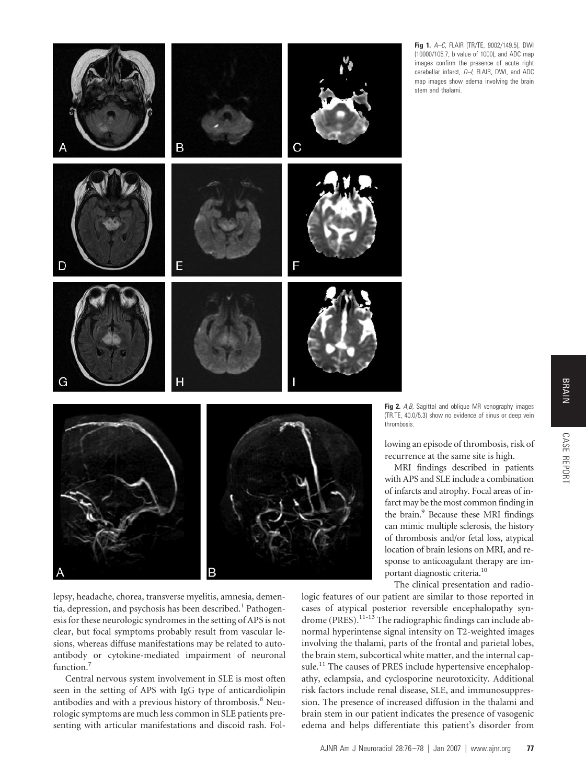

**Fig 1.** *A–C*, FLAIR (TR/TE, 9002/149.5), DWI (10000/105.7, b value of 1000), and ADC map images confirm the presence of acute right cerebellar infarct, *D–I*, FLAIR, DWI, and ADC map images show edema involving the brain stem and thalami.

**Fig 2.** *A,B,* Sagittal and oblique MR venography images (TR.TE, 40.0/5.3) show no evidence of sinus or deep vein thrombosis.

lowing an episode of thrombosis, risk of recurrence at the same site is high.

MRI findings described in patients with APS and SLE include a combination of infarcts and atrophy. Focal areas of infarct may be the most common finding in the brain.<sup>9</sup> Because these MRI findings can mimic multiple sclerosis, the history of thrombosis and/or fetal loss, atypical location of brain lesions on MRI, and response to anticoagulant therapy are important diagnostic criteria.10

lepsy, headache, chorea, transverse myelitis, amnesia, dementia, depression, and psychosis has been described.<sup>1</sup> Pathogenesis for these neurologic syndromes in the setting of APS is not clear, but focal symptoms probably result from vascular lesions, whereas diffuse manifestations may be related to autoantibody or cytokine-mediated impairment of neuronal function.<sup>7</sup>

B

Central nervous system involvement in SLE is most often seen in the setting of APS with IgG type of anticardiolipin antibodies and with a previous history of thrombosis.<sup>8</sup> Neurologic symptoms are much less common in SLE patients presenting with articular manifestations and discoid rash. Fol-

The clinical presentation and radiologic features of our patient are similar to those reported in cases of atypical posterior reversible encephalopathy syndrome (PRES).<sup>11-13</sup> The radiographic findings can include abnormal hyperintense signal intensity on T2-weighted images involving the thalami, parts of the frontal and parietal lobes, the brain stem, subcortical white matter, and the internal capsule.<sup>11</sup> The causes of PRES include hypertensive encephalopathy, eclampsia, and cyclosporine neurotoxicity. Additional risk factors include renal disease, SLE, and immunosuppression. The presence of increased diffusion in the thalami and brain stem in our patient indicates the presence of vasogenic edema and helps differentiate this patient's disorder from

AJNR Am J Neuroradiol 28:76 –78 Jan 2007 www.ajnr.org **77**